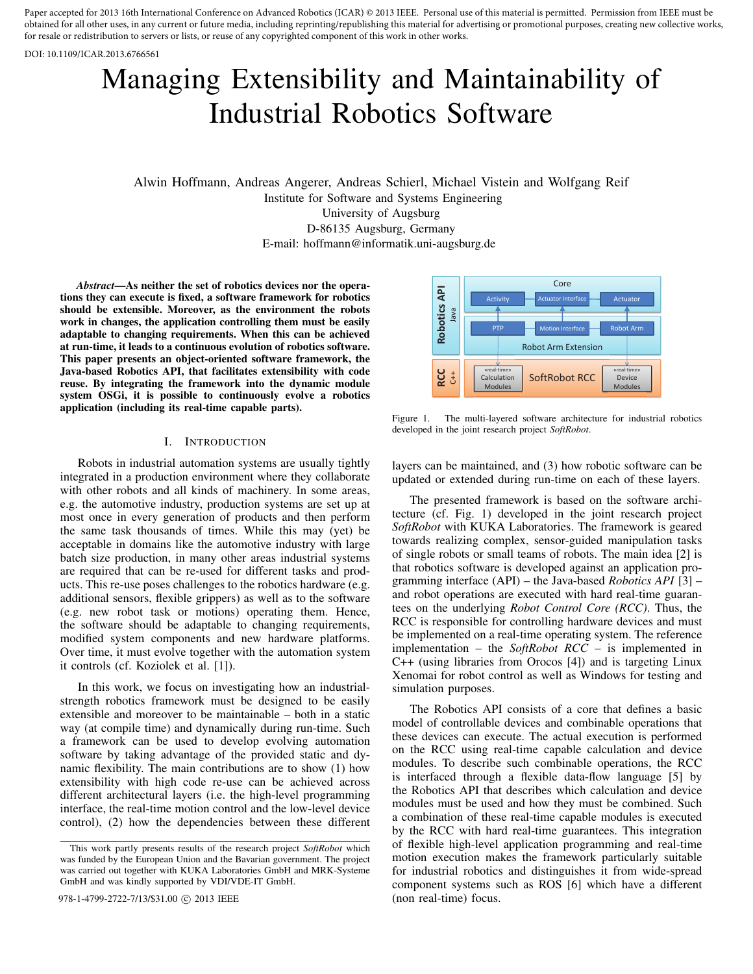Paper accepted for 2013 16th International Conference on Advanced Robotics (ICAR) @ 2013 IEEE. Personal use of this material is permitted. Permission from IEEE must be obtained for all other uses, in any current or future media, including reprinting/republishing this material for advertising or promotional purposes, creating new collective works, for resale or redistribution to servers or lists, or reuse of any copyrighted component of this work in other works.

DOI: 10.1109/ICAR.2013.6766561

# Managing Extensibility and Maintainability of Industrial Robotics Software

Alwin Hoffmann, Andreas Angerer, Andreas Schierl, Michael Vistein and Wolfgang Reif Institute for Software and Systems Engineering University of Augsburg D-86135 Augsburg, Germany E-mail: hoffmann@informatik.uni-augsburg.de

*Abstract*—As neither the set of robotics devices nor the operations they can execute is fixed, a software framework for robotics should be extensible. Moreover, as the environment the robots work in changes, the application controlling them must be easily adaptable to changing requirements. When this can be achieved at run-time, it leads to a continuous evolution of robotics software. This paper presents an object-oriented software framework, the Java-based Robotics API, that facilitates extensibility with code reuse. By integrating the framework into the dynamic module system OSGi, it is possible to continuously evolve a robotics application (including its real-time capable parts).

## I. INTRODUCTION

Robots in industrial automation systems are usually tightly integrated in a production environment where they collaborate with other robots and all kinds of machinery. In some areas, e.g. the automotive industry, production systems are set up at most once in every generation of products and then perform the same task thousands of times. While this may (yet) be acceptable in domains like the automotive industry with large batch size production, in many other areas industrial systems are required that can be re-used for different tasks and products. This re-use poses challenges to the robotics hardware (e.g. additional sensors, flexible grippers) as well as to the software (e.g. new robot task or motions) operating them. Hence, the software should be adaptable to changing requirements, modified system components and new hardware platforms. Over time, it must evolve together with the automation system it controls (cf. Koziolek et al. [1]).

In this work, we focus on investigating how an industrialstrength robotics framework must be designed to be easily extensible and moreover to be maintainable – both in a static way (at compile time) and dynamically during run-time. Such a framework can be used to develop evolving automation software by taking advantage of the provided static and dynamic flexibility. The main contributions are to show (1) how extensibility with high code re-use can be achieved across different architectural layers (i.e. the high-level programming interface, the real-time motion control and the low-level device control), (2) how the dependencies between these different



Figure 1. The multi-layered software architecture for industrial robotics developed in the joint research project *SoftRobot*.

layers can be maintained, and (3) how robotic software can be updated or extended during run-time on each of these layers.

The presented framework is based on the software architecture (cf. Fig. 1) developed in the joint research project *SoftRobot* with KUKA Laboratories. The framework is geared towards realizing complex, sensor-guided manipulation tasks of single robots or small teams of robots. The main idea [2] is that robotics software is developed against an application programming interface (API) – the Java-based *Robotics API* [3] – and robot operations are executed with hard real-time guarantees on the underlying *Robot Control Core (RCC)*. Thus, the RCC is responsible for controlling hardware devices and must be implemented on a real-time operating system. The reference implementation – the *SoftRobot RCC* – is implemented in C++ (using libraries from Orocos [4]) and is targeting Linux Xenomai for robot control as well as Windows for testing and simulation purposes.

The Robotics API consists of a core that defines a basic model of controllable devices and combinable operations that these devices can execute. The actual execution is performed on the RCC using real-time capable calculation and device modules. To describe such combinable operations, the RCC is interfaced through a flexible data-flow language [5] by the Robotics API that describes which calculation and device modules must be used and how they must be combined. Such a combination of these real-time capable modules is executed by the RCC with hard real-time guarantees. This integration of flexible high-level application programming and real-time motion execution makes the framework particularly suitable for industrial robotics and distinguishes it from wide-spread component systems such as ROS [6] which have a different

This work partly presents results of the research project *SoftRobot* which was funded by the European Union and the Bavarian government. The project was carried out together with KUKA Laboratories GmbH and MRK-Systeme GmbH and was kindly supported by VDI/VDE-IT GmbH.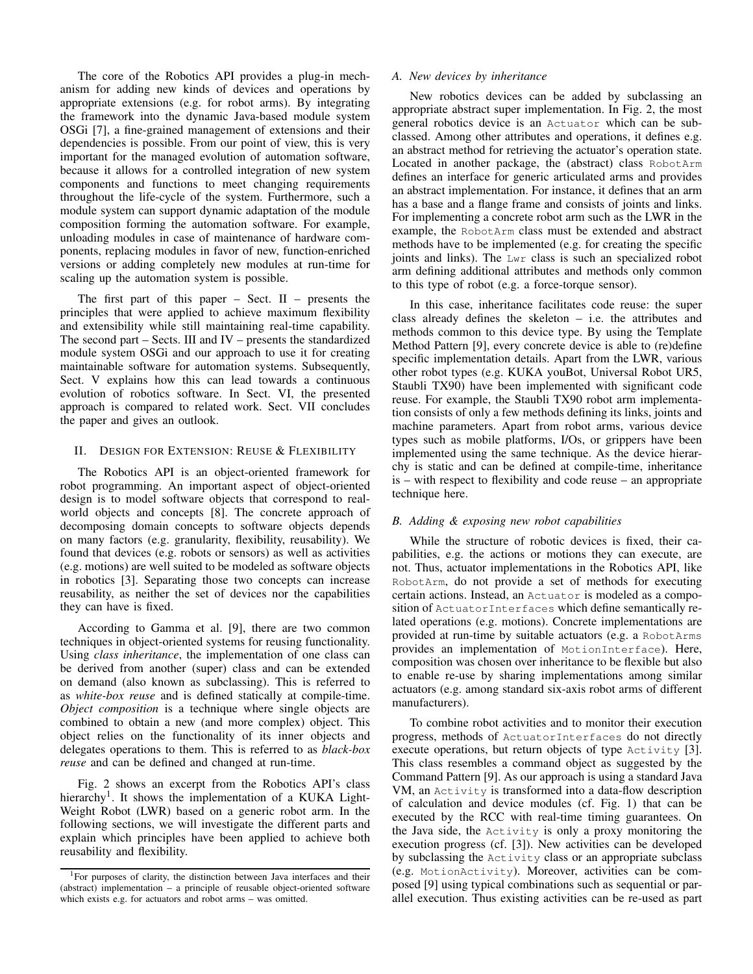The core of the Robotics API provides a plug-in mechanism for adding new kinds of devices and operations by appropriate extensions (e.g. for robot arms). By integrating the framework into the dynamic Java-based module system OSGi [7], a fine-grained management of extensions and their dependencies is possible. From our point of view, this is very important for the managed evolution of automation software, because it allows for a controlled integration of new system components and functions to meet changing requirements throughout the life-cycle of the system. Furthermore, such a module system can support dynamic adaptation of the module composition forming the automation software. For example, unloading modules in case of maintenance of hardware components, replacing modules in favor of new, function-enriched versions or adding completely new modules at run-time for scaling up the automation system is possible.

The first part of this paper – Sect.  $II$  – presents the principles that were applied to achieve maximum flexibility and extensibility while still maintaining real-time capability. The second part – Sects. III and IV – presents the standardized module system OSGi and our approach to use it for creating maintainable software for automation systems. Subsequently, Sect. V explains how this can lead towards a continuous evolution of robotics software. In Sect. VI, the presented approach is compared to related work. Sect. VII concludes the paper and gives an outlook.

# II. DESIGN FOR EXTENSION: REUSE & FLEXIBILITY

The Robotics API is an object-oriented framework for robot programming. An important aspect of object-oriented design is to model software objects that correspond to realworld objects and concepts [8]. The concrete approach of decomposing domain concepts to software objects depends on many factors (e.g. granularity, flexibility, reusability). We found that devices (e.g. robots or sensors) as well as activities (e.g. motions) are well suited to be modeled as software objects in robotics [3]. Separating those two concepts can increase reusability, as neither the set of devices nor the capabilities they can have is fixed.

According to Gamma et al. [9], there are two common techniques in object-oriented systems for reusing functionality. Using *class inheritance*, the implementation of one class can be derived from another (super) class and can be extended on demand (also known as subclassing). This is referred to as *white-box reuse* and is defined statically at compile-time. *Object composition* is a technique where single objects are combined to obtain a new (and more complex) object. This object relies on the functionality of its inner objects and delegates operations to them. This is referred to as *black-box reuse* and can be defined and changed at run-time.

Fig. 2 shows an excerpt from the Robotics API's class hierarchy<sup>1</sup>. It shows the implementation of a KUKA Light-Weight Robot (LWR) based on a generic robot arm. In the following sections, we will investigate the different parts and explain which principles have been applied to achieve both reusability and flexibility.

### *A. New devices by inheritance*

New robotics devices can be added by subclassing an appropriate abstract super implementation. In Fig. 2, the most general robotics device is an Actuator which can be subclassed. Among other attributes and operations, it defines e.g. an abstract method for retrieving the actuator's operation state. Located in another package, the (abstract) class RobotArm defines an interface for generic articulated arms and provides an abstract implementation. For instance, it defines that an arm has a base and a flange frame and consists of joints and links. For implementing a concrete robot arm such as the LWR in the example, the RobotArm class must be extended and abstract methods have to be implemented (e.g. for creating the specific joints and links). The Lwr class is such an specialized robot arm defining additional attributes and methods only common to this type of robot (e.g. a force-torque sensor).

In this case, inheritance facilitates code reuse: the super class already defines the skeleton – i.e. the attributes and methods common to this device type. By using the Template Method Pattern [9], every concrete device is able to (re)define specific implementation details. Apart from the LWR, various other robot types (e.g. KUKA youBot, Universal Robot UR5, Staubli TX90) have been implemented with significant code reuse. For example, the Staubli TX90 robot arm implementation consists of only a few methods defining its links, joints and machine parameters. Apart from robot arms, various device types such as mobile platforms, I/Os, or grippers have been implemented using the same technique. As the device hierarchy is static and can be defined at compile-time, inheritance is – with respect to flexibility and code reuse – an appropriate technique here.

# *B. Adding & exposing new robot capabilities*

While the structure of robotic devices is fixed, their capabilities, e.g. the actions or motions they can execute, are not. Thus, actuator implementations in the Robotics API, like RobotArm, do not provide a set of methods for executing certain actions. Instead, an Actuator is modeled as a composition of ActuatorInterfaces which define semantically related operations (e.g. motions). Concrete implementations are provided at run-time by suitable actuators (e.g. a RobotArms provides an implementation of MotionInterface). Here, composition was chosen over inheritance to be flexible but also to enable re-use by sharing implementations among similar actuators (e.g. among standard six-axis robot arms of different manufacturers).

To combine robot activities and to monitor their execution progress, methods of ActuatorInterfaces do not directly execute operations, but return objects of type Activity [3]. This class resembles a command object as suggested by the Command Pattern [9]. As our approach is using a standard Java VM, an Activity is transformed into a data-flow description of calculation and device modules (cf. Fig. 1) that can be executed by the RCC with real-time timing guarantees. On the Java side, the Activity is only a proxy monitoring the execution progress (cf. [3]). New activities can be developed by subclassing the Activity class or an appropriate subclass (e.g. MotionActivity). Moreover, activities can be composed [9] using typical combinations such as sequential or parallel execution. Thus existing activities can be re-used as part

<sup>&</sup>lt;sup>1</sup>For purposes of clarity, the distinction between Java interfaces and their (abstract) implementation – a principle of reusable object-oriented software which exists e.g. for actuators and robot arms – was omitted.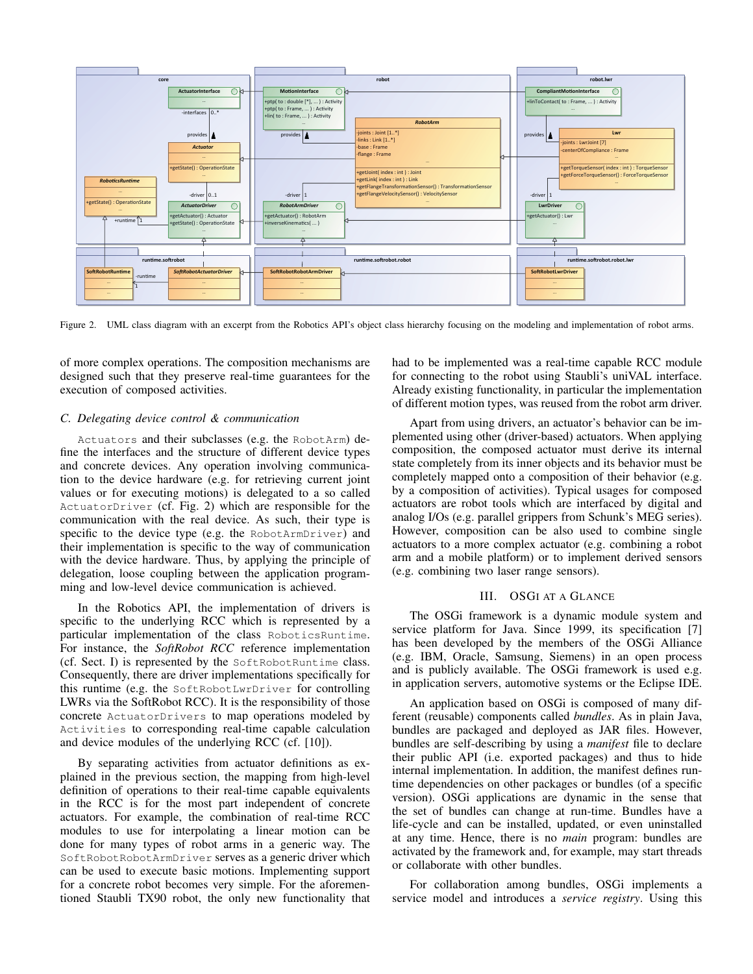

Figure 2. UML class diagram with an excerpt from the Robotics API's object class hierarchy focusing on the modeling and implementation of robot arms.

of more complex operations. The composition mechanisms are designed such that they preserve real-time guarantees for the execution of composed activities.

## *C. Delegating device control & communication*

Actuators and their subclasses (e.g. the RobotArm) define the interfaces and the structure of different device types and concrete devices. Any operation involving communication to the device hardware (e.g. for retrieving current joint values or for executing motions) is delegated to a so called ActuatorDriver (cf. Fig. 2) which are responsible for the communication with the real device. As such, their type is specific to the device type (e.g. the RobotArmDriver) and their implementation is specific to the way of communication with the device hardware. Thus, by applying the principle of delegation, loose coupling between the application programming and low-level device communication is achieved.

In the Robotics API, the implementation of drivers is specific to the underlying RCC which is represented by a particular implementation of the class RoboticsRuntime. For instance, the *SoftRobot RCC* reference implementation (cf. Sect. I) is represented by the SoftRobotRuntime class. Consequently, there are driver implementations specifically for this runtime (e.g. the SoftRobotLwrDriver for controlling LWRs via the SoftRobot RCC). It is the responsibility of those concrete ActuatorDrivers to map operations modeled by Activities to corresponding real-time capable calculation and device modules of the underlying RCC (cf. [10]).

By separating activities from actuator definitions as explained in the previous section, the mapping from high-level definition of operations to their real-time capable equivalents in the RCC is for the most part independent of concrete actuators. For example, the combination of real-time RCC modules to use for interpolating a linear motion can be done for many types of robot arms in a generic way. The SoftRobotRobotArmDriver serves as a generic driver which can be used to execute basic motions. Implementing support for a concrete robot becomes very simple. For the aforementioned Staubli TX90 robot, the only new functionality that had to be implemented was a real-time capable RCC module for connecting to the robot using Staubli's uniVAL interface. Already existing functionality, in particular the implementation of different motion types, was reused from the robot arm driver.

Apart from using drivers, an actuator's behavior can be implemented using other (driver-based) actuators. When applying composition, the composed actuator must derive its internal state completely from its inner objects and its behavior must be completely mapped onto a composition of their behavior (e.g. by a composition of activities). Typical usages for composed actuators are robot tools which are interfaced by digital and analog I/Os (e.g. parallel grippers from Schunk's MEG series). However, composition can be also used to combine single actuators to a more complex actuator (e.g. combining a robot arm and a mobile platform) or to implement derived sensors (e.g. combining two laser range sensors).

#### III. OSGI AT A GLANCE

The OSGi framework is a dynamic module system and service platform for Java. Since 1999, its specification [7] has been developed by the members of the OSGi Alliance (e.g. IBM, Oracle, Samsung, Siemens) in an open process and is publicly available. The OSGi framework is used e.g. in application servers, automotive systems or the Eclipse IDE.

An application based on OSGi is composed of many different (reusable) components called *bundles*. As in plain Java, bundles are packaged and deployed as JAR files. However, bundles are self-describing by using a *manifest* file to declare their public API (i.e. exported packages) and thus to hide internal implementation. In addition, the manifest defines runtime dependencies on other packages or bundles (of a specific version). OSGi applications are dynamic in the sense that the set of bundles can change at run-time. Bundles have a life-cycle and can be installed, updated, or even uninstalled at any time. Hence, there is no *main* program: bundles are activated by the framework and, for example, may start threads or collaborate with other bundles.

For collaboration among bundles, OSGi implements a service model and introduces a *service registry*. Using this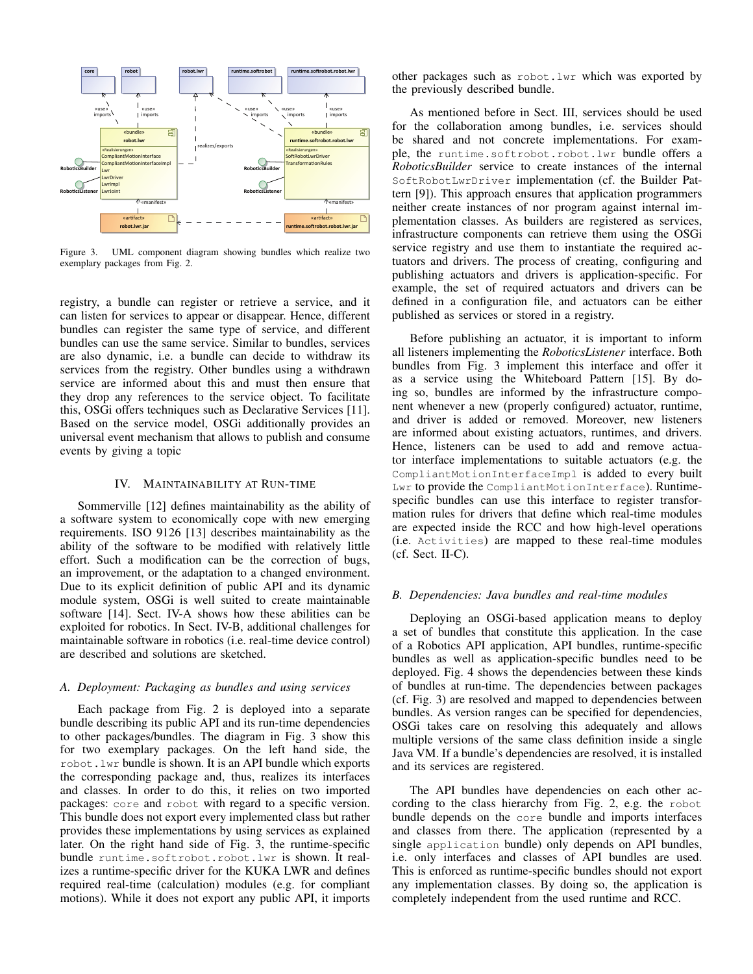

Figure 3. UML component diagram showing bundles which realize two exemplary packages from Fig. 2.

registry, a bundle can register or retrieve a service, and it can listen for services to appear or disappear. Hence, different bundles can register the same type of service, and different bundles can use the same service. Similar to bundles, services are also dynamic, i.e. a bundle can decide to withdraw its services from the registry. Other bundles using a withdrawn service are informed about this and must then ensure that they drop any references to the service object. To facilitate this, OSGi offers techniques such as Declarative Services [11]. Based on the service model, OSGi additionally provides an universal event mechanism that allows to publish and consume events by giving a topic

# IV. MAINTAINABILITY AT RUN-TIME

Sommerville [12] defines maintainability as the ability of a software system to economically cope with new emerging requirements. ISO 9126 [13] describes maintainability as the ability of the software to be modified with relatively little effort. Such a modification can be the correction of bugs, an improvement, or the adaptation to a changed environment. Due to its explicit definition of public API and its dynamic module system, OSGi is well suited to create maintainable software [14]. Sect. IV-A shows how these abilities can be exploited for robotics. In Sect. IV-B, additional challenges for maintainable software in robotics (i.e. real-time device control) are described and solutions are sketched.

#### *A. Deployment: Packaging as bundles and using services*

Each package from Fig. 2 is deployed into a separate bundle describing its public API and its run-time dependencies to other packages/bundles. The diagram in Fig. 3 show this for two exemplary packages. On the left hand side, the robot.lwr bundle is shown. It is an API bundle which exports the corresponding package and, thus, realizes its interfaces and classes. In order to do this, it relies on two imported packages: core and robot with regard to a specific version. This bundle does not export every implemented class but rather provides these implementations by using services as explained later. On the right hand side of Fig. 3, the runtime-specific bundle runtime.softrobot.robot.lwr is shown. It realizes a runtime-specific driver for the KUKA LWR and defines required real-time (calculation) modules (e.g. for compliant motions). While it does not export any public API, it imports other packages such as robot.lwr which was exported by the previously described bundle.

As mentioned before in Sect. III, services should be used for the collaboration among bundles, i.e. services should be shared and not concrete implementations. For example, the runtime.softrobot.robot.lwr bundle offers a *RoboticsBuilder* service to create instances of the internal SoftRobotLwrDriver implementation (cf. the Builder Pattern [9]). This approach ensures that application programmers neither create instances of nor program against internal implementation classes. As builders are registered as services, infrastructure components can retrieve them using the OSGi service registry and use them to instantiate the required actuators and drivers. The process of creating, configuring and publishing actuators and drivers is application-specific. For example, the set of required actuators and drivers can be defined in a configuration file, and actuators can be either published as services or stored in a registry.

Before publishing an actuator, it is important to inform all listeners implementing the *RoboticsListener* interface. Both bundles from Fig. 3 implement this interface and offer it as a service using the Whiteboard Pattern [15]. By doing so, bundles are informed by the infrastructure component whenever a new (properly configured) actuator, runtime, and driver is added or removed. Moreover, new listeners are informed about existing actuators, runtimes, and drivers. Hence, listeners can be used to add and remove actuator interface implementations to suitable actuators (e.g. the CompliantMotionInterfaceImpl is added to every built Lwr to provide the CompliantMotionInterface). Runtimespecific bundles can use this interface to register transformation rules for drivers that define which real-time modules are expected inside the RCC and how high-level operations (i.e. Activities) are mapped to these real-time modules (cf. Sect. II-C).

# *B. Dependencies: Java bundles and real-time modules*

Deploying an OSGi-based application means to deploy a set of bundles that constitute this application. In the case of a Robotics API application, API bundles, runtime-specific bundles as well as application-specific bundles need to be deployed. Fig. 4 shows the dependencies between these kinds of bundles at run-time. The dependencies between packages (cf. Fig. 3) are resolved and mapped to dependencies between bundles. As version ranges can be specified for dependencies, OSGi takes care on resolving this adequately and allows multiple versions of the same class definition inside a single Java VM. If a bundle's dependencies are resolved, it is installed and its services are registered.

The API bundles have dependencies on each other according to the class hierarchy from Fig. 2, e.g. the robot bundle depends on the core bundle and imports interfaces and classes from there. The application (represented by a single application bundle) only depends on API bundles, i.e. only interfaces and classes of API bundles are used. This is enforced as runtime-specific bundles should not export any implementation classes. By doing so, the application is completely independent from the used runtime and RCC.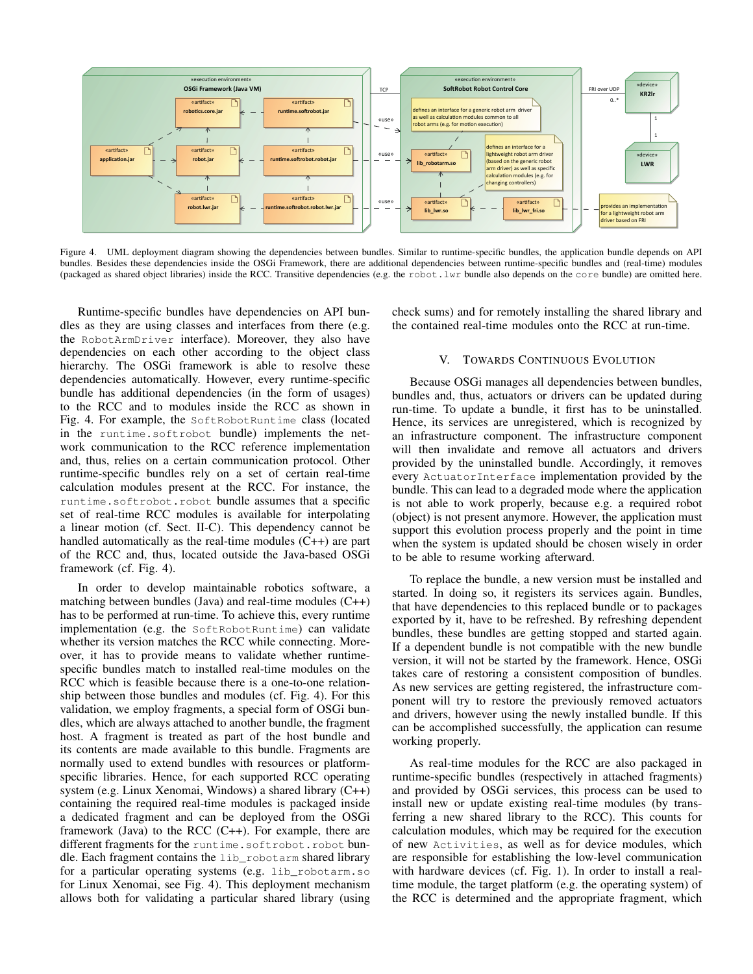

Figure 4. UML deployment diagram showing the dependencies between bundles. Similar to runtime-specific bundles, the application bundle depends on API bundles. Besides these dependencies inside the OSGi Framework, there are additional dependencies between runtime-specific bundles and (real-time) modules (packaged as shared object libraries) inside the RCC. Transitive dependencies (e.g. the robot.lwr bundle also depends on the core bundle) are omitted here.

Runtime-specific bundles have dependencies on API bundles as they are using classes and interfaces from there (e.g. the RobotArmDriver interface). Moreover, they also have dependencies on each other according to the object class hierarchy. The OSGi framework is able to resolve these dependencies automatically. However, every runtime-specific bundle has additional dependencies (in the form of usages) to the RCC and to modules inside the RCC as shown in Fig. 4. For example, the SoftRobotRuntime class (located in the runtime.softrobot bundle) implements the network communication to the RCC reference implementation and, thus, relies on a certain communication protocol. Other runtime-specific bundles rely on a set of certain real-time calculation modules present at the RCC. For instance, the runtime.softrobot.robot bundle assumes that a specific set of real-time RCC modules is available for interpolating a linear motion (cf. Sect. II-C). This dependency cannot be handled automatically as the real-time modules (C++) are part of the RCC and, thus, located outside the Java-based OSGi framework (cf. Fig. 4).

In order to develop maintainable robotics software, a matching between bundles (Java) and real-time modules (C++) has to be performed at run-time. To achieve this, every runtime implementation (e.g. the SoftRobotRuntime) can validate whether its version matches the RCC while connecting. Moreover, it has to provide means to validate whether runtimespecific bundles match to installed real-time modules on the RCC which is feasible because there is a one-to-one relationship between those bundles and modules (cf. Fig. 4). For this validation, we employ fragments, a special form of OSGi bundles, which are always attached to another bundle, the fragment host. A fragment is treated as part of the host bundle and its contents are made available to this bundle. Fragments are normally used to extend bundles with resources or platformspecific libraries. Hence, for each supported RCC operating system (e.g. Linux Xenomai, Windows) a shared library (C++) containing the required real-time modules is packaged inside a dedicated fragment and can be deployed from the OSGi framework (Java) to the RCC  $(C++)$ . For example, there are different fragments for the runtime.softrobot.robot bundle. Each fragment contains the lib\_robotarm shared library for a particular operating systems (e.g. lib\_robotarm.so for Linux Xenomai, see Fig. 4). This deployment mechanism allows both for validating a particular shared library (using check sums) and for remotely installing the shared library and the contained real-time modules onto the RCC at run-time.

# V. TOWARDS CONTINUOUS EVOLUTION

Because OSGi manages all dependencies between bundles, bundles and, thus, actuators or drivers can be updated during run-time. To update a bundle, it first has to be uninstalled. Hence, its services are unregistered, which is recognized by an infrastructure component. The infrastructure component will then invalidate and remove all actuators and drivers provided by the uninstalled bundle. Accordingly, it removes every ActuatorInterface implementation provided by the bundle. This can lead to a degraded mode where the application is not able to work properly, because e.g. a required robot (object) is not present anymore. However, the application must support this evolution process properly and the point in time when the system is updated should be chosen wisely in order to be able to resume working afterward.

To replace the bundle, a new version must be installed and started. In doing so, it registers its services again. Bundles, that have dependencies to this replaced bundle or to packages exported by it, have to be refreshed. By refreshing dependent bundles, these bundles are getting stopped and started again. If a dependent bundle is not compatible with the new bundle version, it will not be started by the framework. Hence, OSGi takes care of restoring a consistent composition of bundles. As new services are getting registered, the infrastructure component will try to restore the previously removed actuators and drivers, however using the newly installed bundle. If this can be accomplished successfully, the application can resume working properly.

As real-time modules for the RCC are also packaged in runtime-specific bundles (respectively in attached fragments) and provided by OSGi services, this process can be used to install new or update existing real-time modules (by transferring a new shared library to the RCC). This counts for calculation modules, which may be required for the execution of new Activities, as well as for device modules, which are responsible for establishing the low-level communication with hardware devices (cf. Fig. 1). In order to install a realtime module, the target platform (e.g. the operating system) of the RCC is determined and the appropriate fragment, which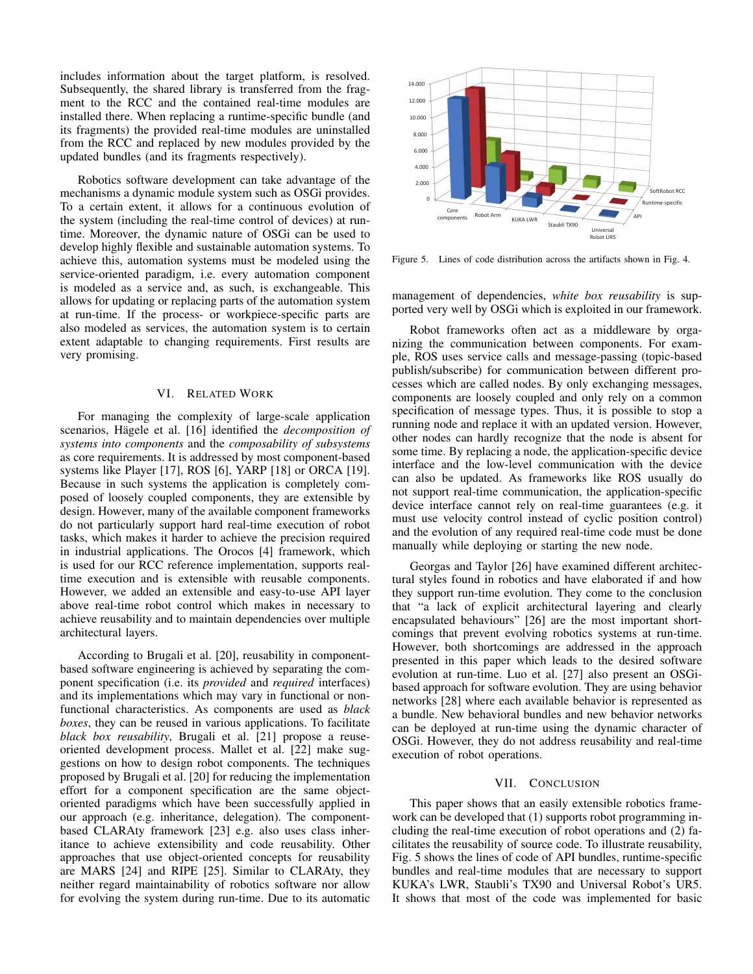includes information about the target platform, is resolved. Subsequently, the shared library is transferred from the fragment to the RCC and the contained real-time modules are installed there. When replacing a runtime-specific bundle (and its fragments) the provided real-time modules are uninstalled from the RCC and replaced by new modules provided by the updated bundles (and its fragments respectively).

Robotics software development can take advantage of the mechanisms a dynamic module system such as OSGi provides. To a certain extent, it allows for a continuous evolution of the system (including the real-time control of devices) at runtime. Moreover, the dynamic nature of OSGi can be used to develop highly flexible and sustainable automation systems. To achieve this, automation systems must be modeled using the service-oriented paradigm, i.e. every automation component is modeled as a service and, as such, is exchangeable. This allows for updating or replacing parts of the automation system at run-time. If the process- or workpiece-specific parts are also modeled as services, the automation system is to certain extent adaptable to changing requirements. First results are very promising.

# VI. RELATED WORK

For managing the complexity of large-scale application scenarios, Hägele et al. [16] identified the *decomposition of systems into components* and the *composability of subsystems* as core requirements. It is addressed by most component-based systems like Player [17], ROS [6], YARP [18] or ORCA [19]. Because in such systems the application is completely composed of loosely coupled components, they are extensible by design. However, many of the available component frameworks do not particularly support hard real-time execution of robot tasks, which makes it harder to achieve the precision required in industrial applications. The Orocos [4] framework, which is used for our RCC reference implementation, supports realtime execution and is extensible with reusable components. However, we added an extensible and easy-to-use API layer above real-time robot control which makes in necessary to achieve reusability and to maintain dependencies over multiple architectural layers.

According to Brugali et al. [20], reusability in componentbased software engineering is achieved by separating the component specification (i.e. its *provided* and *required* interfaces) and its implementations which may vary in functional or nonfunctional characteristics. As components are used as *black boxes*, they can be reused in various applications. To facilitate *black box reusability*, Brugali et al. [21] propose a reuseoriented development process. Mallet et al. [22] make suggestions on how to design robot components. The techniques proposed by Brugali et al. [20] for reducing the implementation effort for a component specification are the same objectoriented paradigms which have been successfully applied in our approach (e.g. inheritance, delegation). The componentbased CLARAty framework [23] e.g. also uses class inheritance to achieve extensibility and code reusability. Other approaches that use object-oriented concepts for reusability are MARS [24] and RIPE [25]. Similar to CLARAty, they neither regard maintainability of robotics software nor allow the system free constant of the system of the system of the system during the system during the system of the system during run-time. The system during run-time is a specified on the system of the system of the system of



Figure 5. Lines of code distribution across the artifacts shown in Fig. 4.

management of dependencies, *white box reusability* is supported very well by OSGi which is exploited in our framework.

Robot frameworks often act as a middleware by organizing the communication between components. For example, ROS uses service calls and message-passing (topic-based publish/subscribe) for communication between different processes which are called nodes. By only exchanging messages, components are loosely coupled and only rely on a common specification of message types. Thus, it is possible to stop a running node and replace it with an updated version. However, other nodes can hardly recognize that the node is absent for some time. By replacing a node, the application-specific device interface and the low-level communication with the device can also be updated. As frameworks like ROS usually do not support real-time communication, the application-specific device interface cannot rely on real-time guarantees (e.g. it must use velocity control instead of cyclic position control) and the evolution of any required real-time code must be done manually while deploying or starting the new node.

Georgas and Taylor [26] have examined different architectural styles found in robotics and have elaborated if and how they support run-time evolution. They come to the conclusion that "a lack of explicit architectural layering and clearly encapsulated behaviours" [26] are the most important shortcomings that prevent evolving robotics systems at run-time. However, both shortcomings are addressed in the approach presented in this paper which leads to the desired software evolution at run-time. Luo et al. [27] also present an OSGibased approach for software evolution. They are using behavior networks [28] where each available behavior is represented as a bundle. New behavioral bundles and new behavior networks can be deployed at run-time using the dynamic character of OSGi. However, they do not address reusability and real-time execution of robot operations.

#### VII. CONCLUSION

This paper shows that an easily extensible robotics framework can be developed that (1) supports robot programming including the real-time execution of robot operations and (2) facilitates the reusability of source code. To illustrate reusability, Fig. 5 shows the lines of code of API bundles, runtime-specific bundles and real-time modules that are necessary to support KUKA's LWR, Staubli's TX90 and Universal Robot's UR5. It shows that most of the code was implemented for basic